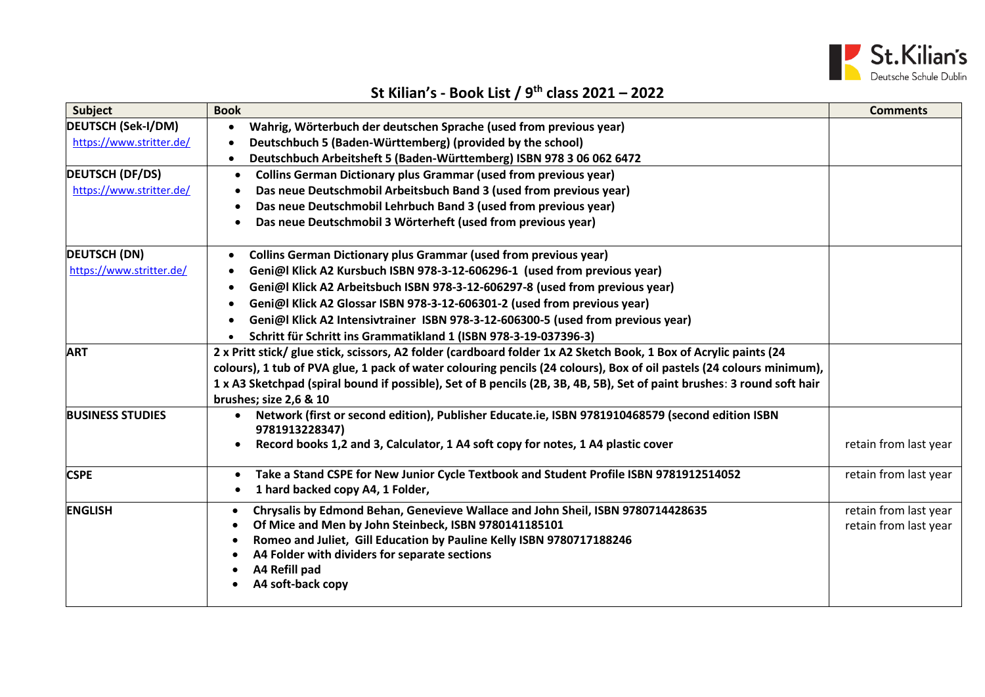

## **St Kilian's - Book List / 9 th class 2021 – 2022**

| <b>Subject</b>            | <b>Book</b>                                                                                                                             | <b>Comments</b>       |
|---------------------------|-----------------------------------------------------------------------------------------------------------------------------------------|-----------------------|
| <b>DEUTSCH (Sek-I/DM)</b> | Wahrig, Wörterbuch der deutschen Sprache (used from previous year)                                                                      |                       |
| https://www.stritter.de/  | Deutschbuch 5 (Baden-Württemberg) (provided by the school)                                                                              |                       |
|                           | Deutschbuch Arbeitsheft 5 (Baden-Württemberg) ISBN 978 3 06 062 6472                                                                    |                       |
| <b>DEUTSCH (DF/DS)</b>    | <b>Collins German Dictionary plus Grammar (used from previous year)</b><br>$\bullet$                                                    |                       |
| https://www.stritter.de/  | Das neue Deutschmobil Arbeitsbuch Band 3 (used from previous year)                                                                      |                       |
|                           | Das neue Deutschmobil Lehrbuch Band 3 (used from previous year)                                                                         |                       |
|                           | Das neue Deutschmobil 3 Wörterheft (used from previous year)                                                                            |                       |
| <b>DEUTSCH (DN)</b>       | <b>Collins German Dictionary plus Grammar (used from previous year)</b>                                                                 |                       |
| https://www.stritter.de/  | Geni@l Klick A2 Kursbuch ISBN 978-3-12-606296-1 (used from previous year)                                                               |                       |
|                           | Geni@l Klick A2 Arbeitsbuch ISBN 978-3-12-606297-8 (used from previous year)                                                            |                       |
|                           | Geni@l Klick A2 Glossar ISBN 978-3-12-606301-2 (used from previous year)                                                                |                       |
|                           | Geni@l Klick A2 Intensivtrainer ISBN 978-3-12-606300-5 (used from previous year)                                                        |                       |
|                           | Schritt für Schritt ins Grammatikland 1 (ISBN 978-3-19-037396-3)                                                                        |                       |
| <b>ART</b>                | 2 x Pritt stick/ glue stick, scissors, A2 folder (cardboard folder 1x A2 Sketch Book, 1 Box of Acrylic paints (24                       |                       |
|                           | colours), 1 tub of PVA glue, 1 pack of water colouring pencils (24 colours), Box of oil pastels (24 colours minimum),                   |                       |
|                           | 1 x A3 Sketchpad (spiral bound if possible), Set of B pencils (2B, 3B, 4B, 5B), Set of paint brushes: 3 round soft hair                 |                       |
|                           | brushes; size 2,6 & 10                                                                                                                  |                       |
| <b>BUSINESS STUDIES</b>   | Network (first or second edition), Publisher Educate.ie, ISBN 9781910468579 (second edition ISBN<br>9781913228347)                      |                       |
|                           | Record books 1,2 and 3, Calculator, 1 A4 soft copy for notes, 1 A4 plastic cover<br>$\bullet$                                           | retain from last year |
| <b>CSPE</b>               | Take a Stand CSPE for New Junior Cycle Textbook and Student Profile ISBN 9781912514052<br>$\bullet$<br>1 hard backed copy A4, 1 Folder, | retain from last year |
| <b>ENGLISH</b>            | Chrysalis by Edmond Behan, Genevieve Wallace and John Sheil, ISBN 9780714428635<br>$\bullet$                                            | retain from last year |
|                           | Of Mice and Men by John Steinbeck, ISBN 9780141185101                                                                                   | retain from last year |
|                           | Romeo and Juliet, Gill Education by Pauline Kelly ISBN 9780717188246                                                                    |                       |
|                           | A4 Folder with dividers for separate sections                                                                                           |                       |
|                           | A4 Refill pad                                                                                                                           |                       |
|                           | A4 soft-back copy                                                                                                                       |                       |
|                           |                                                                                                                                         |                       |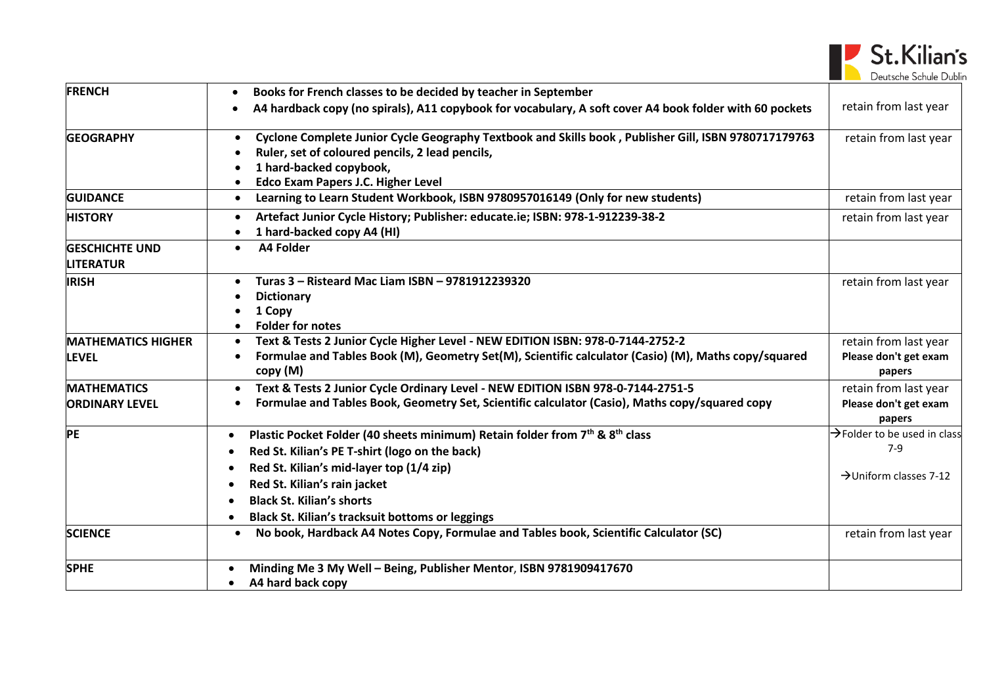

| <b>FRENCH</b>                               | Books for French classes to be decided by teacher in September<br>$\bullet$                                                                                                                                                                                     |                                                          |
|---------------------------------------------|-----------------------------------------------------------------------------------------------------------------------------------------------------------------------------------------------------------------------------------------------------------------|----------------------------------------------------------|
|                                             | A4 hardback copy (no spirals), A11 copybook for vocabulary, A soft cover A4 book folder with 60 pockets                                                                                                                                                         | retain from last year                                    |
| <b>GEOGRAPHY</b>                            | Cyclone Complete Junior Cycle Geography Textbook and Skills book, Publisher Gill, ISBN 9780717179763<br>$\bullet$<br>Ruler, set of coloured pencils, 2 lead pencils,<br>$\bullet$<br>1 hard-backed copybook,<br>Edco Exam Papers J.C. Higher Level<br>$\bullet$ | retain from last year                                    |
| <b>GUIDANCE</b>                             | Learning to Learn Student Workbook, ISBN 9780957016149 (Only for new students)<br>$\bullet$                                                                                                                                                                     | retain from last year                                    |
| <b>HISTORY</b>                              | Artefact Junior Cycle History; Publisher: educate.ie; ISBN: 978-1-912239-38-2<br>$\bullet$<br>1 hard-backed copy A4 (HI)<br>$\bullet$                                                                                                                           | retain from last year                                    |
| <b>GESCHICHTE UND</b><br><b>LITERATUR</b>   | A4 Folder<br>$\bullet$                                                                                                                                                                                                                                          |                                                          |
| <b>IRISH</b>                                | Turas 3 - Risteard Mac Liam ISBN - 9781912239320<br>$\bullet$<br><b>Dictionary</b><br>1 Copy<br><b>Folder for notes</b><br>$\bullet$                                                                                                                            | retain from last year                                    |
| <b>MATHEMATICS HIGHER</b><br><b>LEVEL</b>   | Text & Tests 2 Junior Cycle Higher Level - NEW EDITION ISBN: 978-0-7144-2752-2<br>$\bullet$<br>Formulae and Tables Book (M), Geometry Set(M), Scientific calculator (Casio) (M), Maths copy/squared<br>$\bullet$<br>copy (M)                                    | retain from last year<br>Please don't get exam<br>papers |
| <b>MATHEMATICS</b><br><b>ORDINARY LEVEL</b> | Text & Tests 2 Junior Cycle Ordinary Level - NEW EDITION ISBN 978-0-7144-2751-5<br>$\bullet$<br>Formulae and Tables Book, Geometry Set, Scientific calculator (Casio), Maths copy/squared copy                                                                  | retain from last year<br>Please don't get exam<br>papers |
| <b>PE</b>                                   | Plastic Pocket Folder (40 sheets minimum) Retain folder from 7th & 8th class<br>$\bullet$<br>Red St. Kilian's PE T-shirt (logo on the back)<br>Red St. Kilian's mid-layer top (1/4 zip)                                                                         | $\rightarrow$ Folder to be used in class<br>7-9          |
|                                             | Red St. Kilian's rain jacket<br><b>Black St. Kilian's shorts</b><br>Black St. Kilian's tracksuit bottoms or leggings<br>$\bullet$                                                                                                                               | >Uniform classes 7-12                                    |
| <b>SCIENCE</b>                              | No book, Hardback A4 Notes Copy, Formulae and Tables book, Scientific Calculator (SC)<br>$\bullet$                                                                                                                                                              | retain from last year                                    |
| <b>SPHE</b>                                 | Minding Me 3 My Well - Being, Publisher Mentor, ISBN 9781909417670<br>$\bullet$<br>A4 hard back copy<br>$\bullet$                                                                                                                                               |                                                          |